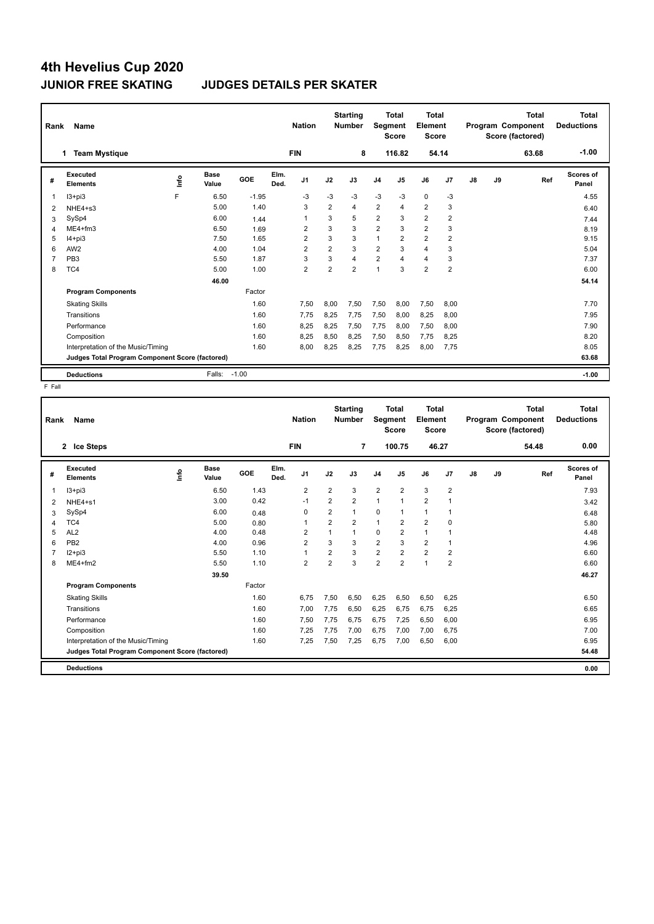| Rank           | Name                                            |      |                      |         |              | <b>Nation</b>  |                | <b>Starting</b><br><b>Number</b> | <b>Segment</b> | Total<br><b>Score</b>   | Total<br>Element<br>Score |                |               |    | <b>Total</b><br>Program Component<br>Score (factored) | Total<br><b>Deductions</b> |
|----------------|-------------------------------------------------|------|----------------------|---------|--------------|----------------|----------------|----------------------------------|----------------|-------------------------|---------------------------|----------------|---------------|----|-------------------------------------------------------|----------------------------|
|                | <b>Team Mystique</b><br>1.                      |      |                      |         |              | <b>FIN</b>     |                | 8                                |                | 116.82                  |                           | 54.14          |               |    | 63.68                                                 | $-1.00$                    |
| #              | <b>Executed</b><br><b>Elements</b>              | lnfo | <b>Base</b><br>Value | GOE     | Elm.<br>Ded. | J <sub>1</sub> | J2             | J3                               | J <sub>4</sub> | J <sub>5</sub>          | J6                        | J <sub>7</sub> | $\mathsf{J}8$ | J9 | Ref                                                   | Scores of<br>Panel         |
| 1              | $13 + pi3$                                      | E    | 6.50                 | $-1.95$ |              | $-3$           | $-3$           | $-3$                             | $-3$           | $-3$                    | $\Omega$                  | $-3$           |               |    |                                                       | 4.55                       |
| 2              | NHE4+s3                                         |      | 5.00                 | 1.40    |              | 3              | $\overline{2}$ | 4                                | $\overline{2}$ | 4                       | $\overline{2}$            | 3              |               |    |                                                       | 6.40                       |
| 3              | SySp4                                           |      | 6.00                 | 1.44    |              | 1              | 3              | 5                                | $\overline{2}$ | 3                       | $\overline{2}$            | $\overline{2}$ |               |    |                                                       | 7.44                       |
| 4              | $ME4 + fm3$                                     |      | 6.50                 | 1.69    |              | 2              | 3              | 3                                | $\overline{2}$ | 3                       | $\overline{2}$            | 3              |               |    |                                                       | 8.19                       |
| 5              | $I4 + pi3$                                      |      | 7.50                 | 1.65    |              | $\overline{2}$ | 3              | 3                                | $\mathbf{1}$   | $\overline{2}$          | $\overline{2}$            | $\overline{2}$ |               |    |                                                       | 9.15                       |
| 6              | AW <sub>2</sub>                                 |      | 4.00                 | 1.04    |              | $\overline{2}$ | $\overline{2}$ | 3                                | $\overline{2}$ | 3                       | $\overline{4}$            | 3              |               |    |                                                       | 5.04                       |
| $\overline{7}$ | PB <sub>3</sub>                                 |      | 5.50                 | 1.87    |              | 3              | 3              | 4                                | $\overline{2}$ | $\overline{\mathbf{A}}$ | $\overline{4}$            | 3              |               |    |                                                       | 7.37                       |
| 8              | TC4                                             |      | 5.00                 | 1.00    |              | $\overline{2}$ | $\overline{2}$ | $\overline{2}$                   | 1              | 3                       | $\overline{2}$            | $\overline{2}$ |               |    |                                                       | 6.00                       |
|                |                                                 |      | 46.00                |         |              |                |                |                                  |                |                         |                           |                |               |    |                                                       | 54.14                      |
|                | <b>Program Components</b>                       |      |                      | Factor  |              |                |                |                                  |                |                         |                           |                |               |    |                                                       |                            |
|                | <b>Skating Skills</b>                           |      |                      | 1.60    |              | 7,50           | 8,00           | 7,50                             | 7,50           | 8,00                    | 7,50                      | 8,00           |               |    |                                                       | 7.70                       |
|                | Transitions                                     |      |                      | 1.60    |              | 7.75           | 8,25           | 7.75                             | 7,50           | 8,00                    | 8,25                      | 8,00           |               |    |                                                       | 7.95                       |
|                | Performance                                     |      |                      | 1.60    |              | 8,25           | 8,25           | 7,50                             | 7,75           | 8,00                    | 7,50                      | 8,00           |               |    |                                                       | 7.90                       |
|                | Composition                                     |      |                      | 1.60    |              | 8,25           | 8,50           | 8,25                             | 7,50           | 8,50                    | 7,75                      | 8,25           |               |    |                                                       | 8.20                       |
|                | Interpretation of the Music/Timing              |      |                      | 1.60    |              | 8,00           | 8,25           | 8,25                             | 7,75           | 8,25                    | 8,00                      | 7,75           |               |    |                                                       | 8.05                       |
|                | Judges Total Program Component Score (factored) |      |                      |         |              |                |                |                                  |                |                         |                           |                |               |    |                                                       | 63.68                      |
|                | <b>Deductions</b>                               |      | Falls:               | $-1.00$ |              |                |                |                                  |                |                         |                           |                |               |    |                                                       | $-1.00$                    |

F Fall

| Rank | Name                                            |    |               |        |              | <b>Nation</b>  |                | <b>Starting</b><br><b>Number</b> | Segment        | <b>Total</b><br><b>Score</b> | <b>Total</b><br>Element<br><b>Score</b> |                |    |    | <b>Total</b><br>Program Component<br>Score (factored) | <b>Total</b><br><b>Deductions</b> |
|------|-------------------------------------------------|----|---------------|--------|--------------|----------------|----------------|----------------------------------|----------------|------------------------------|-----------------------------------------|----------------|----|----|-------------------------------------------------------|-----------------------------------|
|      | <b>Ice Steps</b><br>$\mathbf{2}$                |    |               |        |              | <b>FIN</b>     |                | 7                                |                | 100.75                       | 46.27                                   |                |    |    | 54.48                                                 | 0.00                              |
| #    | Executed<br><b>Elements</b>                     | ۴ů | Base<br>Value | GOE    | Elm.<br>Ded. | J <sub>1</sub> | J2             | J3                               | J <sub>4</sub> | J <sub>5</sub>               | J6                                      | J7             | J8 | J9 | Ref                                                   | Scores of<br>Panel                |
| 1    | $13 + pi3$                                      |    | 6.50          | 1.43   |              | $\overline{2}$ | $\overline{2}$ | 3                                | $\overline{2}$ | $\overline{2}$               | 3                                       | $\overline{2}$ |    |    |                                                       | 7.93                              |
| 2    | NHE4+s1                                         |    | 3.00          | 0.42   |              | $-1$           | $\overline{2}$ | $\overline{2}$                   | $\mathbf{1}$   | 1                            | $\overline{2}$                          | 1              |    |    |                                                       | 3.42                              |
| 3    | SySp4                                           |    | 6.00          | 0.48   |              | 0              | $\overline{2}$ | 1                                | 0              | 1                            | $\mathbf{1}$                            | 1              |    |    |                                                       | 6.48                              |
| 4    | TC4                                             |    | 5.00          | 0.80   |              | 1              | $\overline{2}$ | $\overline{2}$                   | $\mathbf{1}$   | 2                            | $\overline{2}$                          | 0              |    |    |                                                       | 5.80                              |
| 5    | AL <sub>2</sub>                                 |    | 4.00          | 0.48   |              | $\overline{2}$ | 1              | $\mathbf{1}$                     | $\mathbf 0$    | $\overline{2}$               | $\mathbf{1}$                            | 1              |    |    |                                                       | 4.48                              |
| 6    | PB <sub>2</sub>                                 |    | 4.00          | 0.96   |              | $\overline{2}$ | 3              | 3                                | $\overline{2}$ | 3                            | $\overline{2}$                          | 1              |    |    |                                                       | 4.96                              |
|      | $12+pi3$                                        |    | 5.50          | 1.10   |              | $\overline{1}$ | 2              | 3                                | $\overline{2}$ | $\overline{2}$               | $\overline{2}$                          | $\overline{2}$ |    |    |                                                       | 6.60                              |
| 8    | ME4+fm2                                         |    | 5.50          | 1.10   |              | $\overline{2}$ | $\overline{2}$ | 3                                | $\overline{2}$ | $\overline{2}$               | $\mathbf{1}$                            | $\overline{2}$ |    |    |                                                       | 6.60                              |
|      |                                                 |    | 39.50         |        |              |                |                |                                  |                |                              |                                         |                |    |    |                                                       | 46.27                             |
|      | <b>Program Components</b>                       |    |               | Factor |              |                |                |                                  |                |                              |                                         |                |    |    |                                                       |                                   |
|      | <b>Skating Skills</b>                           |    |               | 1.60   |              | 6,75           | 7,50           | 6,50                             | 6,25           | 6,50                         | 6,50                                    | 6,25           |    |    |                                                       | 6.50                              |
|      | Transitions                                     |    |               | 1.60   |              | 7,00           | 7,75           | 6,50                             | 6,25           | 6,75                         | 6,75                                    | 6,25           |    |    |                                                       | 6.65                              |
|      | Performance                                     |    |               | 1.60   |              | 7,50           | 7,75           | 6,75                             | 6,75           | 7,25                         | 6,50                                    | 6,00           |    |    |                                                       | 6.95                              |
|      | Composition                                     |    |               | 1.60   |              | 7,25           | 7,75           | 7,00                             | 6,75           | 7,00                         | 7,00                                    | 6,75           |    |    |                                                       | 7.00                              |
|      | Interpretation of the Music/Timing              |    |               | 1.60   |              | 7,25           | 7,50           | 7,25                             | 6,75           | 7,00                         | 6,50                                    | 6,00           |    |    |                                                       | 6.95                              |
|      | Judges Total Program Component Score (factored) |    |               |        |              |                |                |                                  |                |                              |                                         |                |    |    |                                                       | 54.48                             |
|      | <b>Deductions</b>                               |    |               |        |              |                |                |                                  |                |                              |                                         |                |    |    |                                                       | 0.00                              |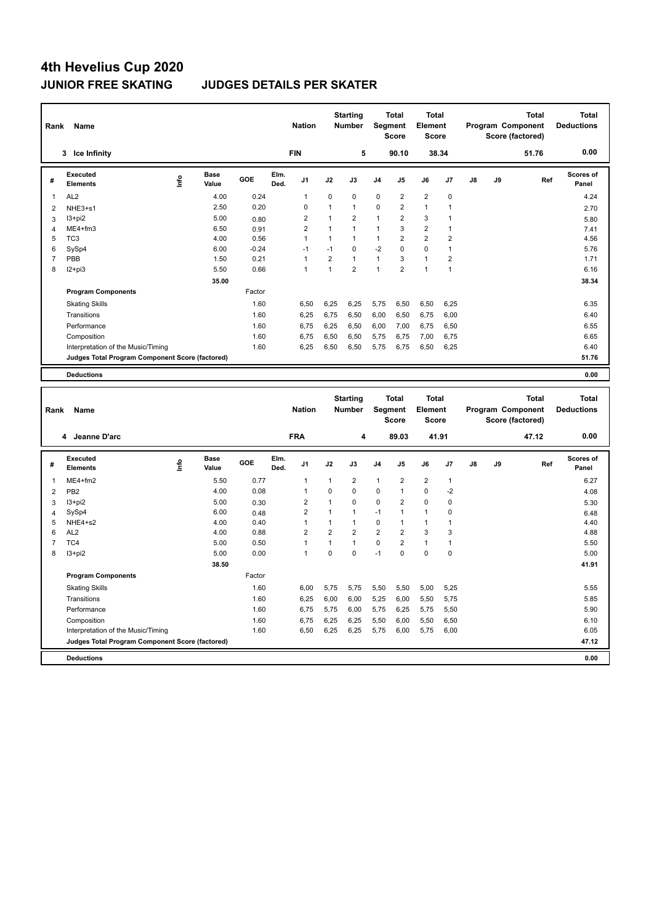| Rank           | Name                                            |    |                      |              |              | <b>Nation</b>                    |                | <b>Starting</b><br><b>Number</b>    | <b>Segment</b>          | Total<br><b>Score</b>            | <b>Total</b><br>Element<br><b>Score</b> |                         |               |    | <b>Total</b><br>Program Component<br>Score (factored) |     | <b>Total</b><br><b>Deductions</b> |
|----------------|-------------------------------------------------|----|----------------------|--------------|--------------|----------------------------------|----------------|-------------------------------------|-------------------------|----------------------------------|-----------------------------------------|-------------------------|---------------|----|-------------------------------------------------------|-----|-----------------------------------|
|                | 3 Ice Infinity                                  |    |                      |              |              | <b>FIN</b>                       |                | 5                                   |                         | 90.10                            |                                         | 38.34                   |               |    | 51.76                                                 |     | 0.00                              |
| #              | <b>Executed</b><br><b>Elements</b>              | ۴ů | <b>Base</b><br>Value | GOE          | Elm.<br>Ded. | J1                               | J2             | J3                                  | J4                      | J5                               | J6                                      | J7                      | J8            | J9 |                                                       | Ref | Scores of<br>Panel                |
| 1              | AL <sub>2</sub>                                 |    | 4.00                 | 0.24         |              | 1                                | 0              | $\mathbf 0$                         | 0                       | 2                                | $\overline{c}$                          | 0                       |               |    |                                                       |     | 4.24                              |
| $\overline{2}$ | NHE3+s1                                         |    | 2.50                 | 0.20         |              | $\Omega$                         | 1              | $\mathbf{1}$                        | $\Omega$                | 2                                | $\mathbf{1}$                            | $\overline{1}$          |               |    |                                                       |     | 2.70                              |
| 3              | $13 + pi2$                                      |    | 5.00                 | 0.80         |              | $\overline{2}$                   | $\mathbf{1}$   | $\overline{2}$                      | $\mathbf{1}$            | $\overline{\mathbf{c}}$          | 3                                       | $\overline{1}$          |               |    |                                                       |     | 5.80                              |
| $\overline{4}$ | ME4+fm3                                         |    | 6.50                 | 0.91         |              | $\overline{2}$                   | $\mathbf{1}$   | $\mathbf{1}$                        | $\mathbf{1}$            | 3                                | $\overline{2}$                          | $\overline{1}$          |               |    |                                                       |     | 7.41                              |
| 5              | TC <sub>3</sub>                                 |    | 4.00                 | 0.56         |              | $\mathbf{1}$                     | 1              | $\mathbf{1}$                        | $\mathbf{1}$            | $\overline{2}$                   | $\overline{2}$                          | $\overline{2}$          |               |    |                                                       |     | 4.56                              |
| 6              | SySp4                                           |    | 6.00                 | $-0.24$      |              | $-1$                             | $-1$           | $\mathbf 0$                         | $-2$                    | 0                                | $\Omega$                                | $\mathbf{1}$            |               |    |                                                       |     | 5.76                              |
| $\overline{7}$ | PBB                                             |    | 1.50                 | 0.21         |              | 1                                | $\overline{2}$ | $\mathbf{1}$                        | $\mathbf{1}$            | 3                                | $\mathbf{1}$                            | $\overline{\mathbf{c}}$ |               |    |                                                       |     | 1.71                              |
| 8              | $12+pi3$                                        |    | 5.50                 | 0.66         |              | $\mathbf{1}$                     | $\mathbf{1}$   | $\overline{2}$                      | $\mathbf{1}$            | $\overline{2}$                   | $\mathbf{1}$                            | $\mathbf{1}$            |               |    |                                                       |     | 6.16                              |
|                |                                                 |    | 35.00                |              |              |                                  |                |                                     |                         |                                  |                                         |                         |               |    |                                                       |     | 38.34                             |
|                | <b>Program Components</b>                       |    |                      | Factor       |              |                                  |                |                                     |                         |                                  |                                         |                         |               |    |                                                       |     |                                   |
|                | <b>Skating Skills</b>                           |    |                      | 1.60         |              | 6.50                             | 6,25           | 6,25                                | 5,75                    | 6,50                             | 6,50                                    | 6,25                    |               |    |                                                       |     | 6.35                              |
|                | Transitions                                     |    |                      | 1.60         |              | 6,25                             | 6,75           | 6,50                                | 6,00                    | 6,50                             | 6,75                                    | 6,00                    |               |    |                                                       |     | 6.40                              |
|                | Performance                                     |    |                      | 1.60         |              | 6,75                             | 6,25           | 6,50                                | 6,00                    | 7,00                             | 6,75                                    | 6,50                    |               |    |                                                       |     | 6.55                              |
|                | Composition                                     |    |                      | 1.60         |              | 6,75                             | 6,50           | 6,50                                | 5,75                    | 6,75                             | 7,00                                    | 6,75                    |               |    |                                                       |     | 6.65                              |
|                | Interpretation of the Music/Timing              |    |                      | 1.60         |              | 6,25                             | 6,50           | 6,50                                | 5,75                    | 6,75                             | 6,50                                    | 6,25                    |               |    |                                                       |     | 6.40                              |
|                | Judges Total Program Component Score (factored) |    |                      |              |              |                                  |                |                                     |                         |                                  |                                         |                         |               |    |                                                       |     | 51.76                             |
|                |                                                 |    |                      |              |              |                                  |                |                                     |                         |                                  |                                         |                         |               |    |                                                       |     |                                   |
|                |                                                 |    |                      |              |              |                                  |                |                                     |                         |                                  |                                         |                         |               |    |                                                       |     |                                   |
|                | <b>Deductions</b>                               |    |                      |              |              |                                  |                |                                     |                         |                                  |                                         |                         |               |    |                                                       |     | 0.00                              |
| Rank           | Name                                            |    |                      |              |              | <b>Nation</b>                    |                | <b>Starting</b><br>Number           |                         | Total<br>Segment<br><b>Score</b> | <b>Total</b><br>Element<br><b>Score</b> |                         |               |    | <b>Total</b><br>Program Component<br>Score (factored) |     | <b>Total</b><br><b>Deductions</b> |
|                | 4 Jeanne D'arc                                  |    |                      |              |              | <b>FRA</b>                       |                | 4                                   |                         | 89.03                            |                                         | 41.91                   |               |    | 47.12                                                 |     | 0.00                              |
| #              | <b>Executed</b><br><b>Elements</b>              | ۴  | <b>Base</b><br>Value | GOE          | Elm.<br>Ded. | J1                               | J2             | J3                                  | J4                      | J5                               | J6                                      | J7                      | $\mathsf{J}8$ | J9 |                                                       | Ref | Scores of<br>Panel                |
| 1              | ME4+fm2                                         |    | 5.50                 | 0.77         |              | 1                                | 1              |                                     | 1                       |                                  |                                         | $\mathbf{1}$            |               |    |                                                       |     | 6.27                              |
|                |                                                 |    | 4.00                 | 0.08         |              | $\mathbf{1}$                     | $\Omega$       | $\overline{\mathbf{c}}$<br>$\Omega$ | $\Omega$                | 2<br>1                           | $\overline{\mathbf{c}}$<br>$\Omega$     | $-2$                    |               |    |                                                       |     |                                   |
| $\overline{2}$ | PB <sub>2</sub>                                 |    |                      |              |              |                                  | 1              | $\Omega$                            |                         |                                  | $\Omega$                                |                         |               |    |                                                       |     | 4.08                              |
| 3              | $13 + pi2$                                      |    | 5.00                 | 0.30         |              | $\overline{2}$<br>$\overline{2}$ | 1              | $\mathbf{1}$                        | 0<br>$-1$               | 2<br>1                           | $\mathbf{1}$                            | 0<br>0                  |               |    |                                                       |     | 5.30                              |
| 4<br>5         | SySp4<br>NHE4+s2                                |    | 6.00                 | 0.48<br>0.40 |              | $\mathbf{1}$                     | $\mathbf{1}$   | $\mathbf{1}$                        | 0                       | 1                                | $\mathbf{1}$                            | $\mathbf{1}$            |               |    |                                                       |     | 6.48<br>4.40                      |
| 6              | AL <sub>2</sub>                                 |    | 4.00<br>4.00         | 0.88         |              | $\overline{2}$                   | $\overline{2}$ | $\overline{2}$                      | $\overline{\mathbf{c}}$ | 2                                | 3                                       | 3                       |               |    |                                                       |     | 4.88                              |
| $\overline{7}$ | TC4                                             |    | 5.00                 | 0.50         |              | $\mathbf{1}$                     | 1              | $\mathbf{1}$                        | 0                       | 2                                | $\mathbf{1}$                            | $\mathbf{1}$            |               |    |                                                       |     | 5.50                              |
| 8              | $13 + pi2$                                      |    | 5.00                 | 0.00         |              | $\mathbf{1}$                     | 0              | $\mathbf 0$                         | $-1$                    | 0                                | 0                                       | $\mathbf 0$             |               |    |                                                       |     | 5.00                              |
|                |                                                 |    | 38.50                |              |              |                                  |                |                                     |                         |                                  |                                         |                         |               |    |                                                       |     | 41.91                             |
|                | <b>Program Components</b>                       |    |                      | Factor       |              |                                  |                |                                     |                         |                                  |                                         |                         |               |    |                                                       |     |                                   |
|                |                                                 |    |                      |              |              |                                  |                |                                     |                         |                                  |                                         |                         |               |    |                                                       |     |                                   |
|                | <b>Skating Skills</b><br>Transitions            |    |                      | 1.60<br>1.60 |              | 6,00<br>6,25                     | 5,75<br>6,00   | 5,75<br>6,00                        | 5,50<br>5,25            | 5,50<br>6,00                     | 5,00<br>5,50                            | 5,25<br>5,75            |               |    |                                                       |     | 5.55<br>5.85                      |

Composition 1.60 6,75 6,25 6,25 5,50 6,00 5,50 6,50 6.10 6.10 Interpretation of the Music/Timing 1.60 6,50 6,25 6,25 6,25 6,75 6,00 6.05

**Judges Total Program Component Score (factored) 47.12**

**Deductions 0.00**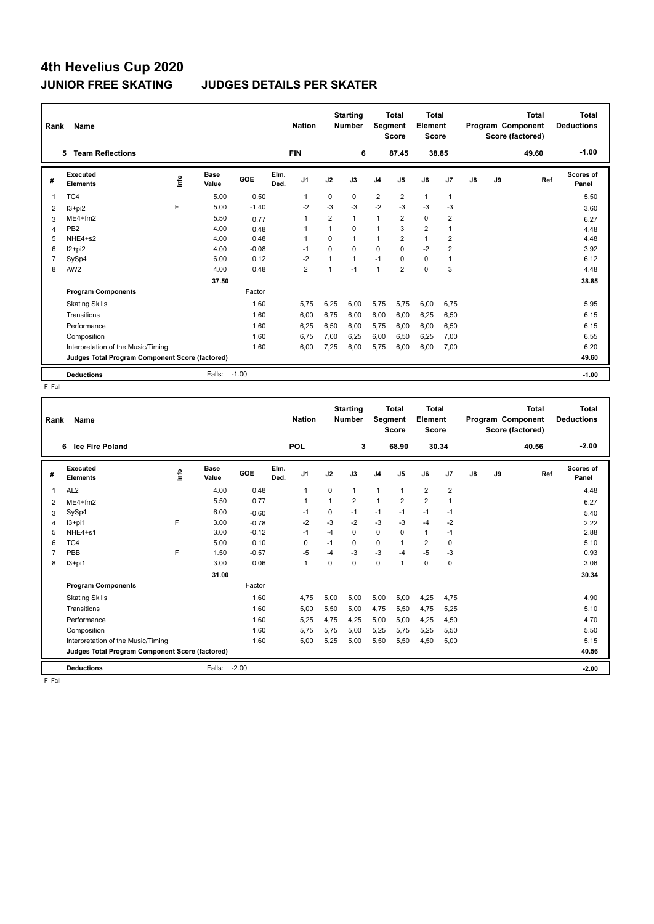| Rank           | Name                                            |      |                      |            |              | <b>Nation</b>  |                | <b>Starting</b><br><b>Number</b> | Segment        | <b>Total</b><br><b>Score</b> | <b>Total</b><br>Element<br><b>Score</b> |                |               |    | <b>Total</b><br>Program Component<br>Score (factored) | <b>Total</b><br><b>Deductions</b> |
|----------------|-------------------------------------------------|------|----------------------|------------|--------------|----------------|----------------|----------------------------------|----------------|------------------------------|-----------------------------------------|----------------|---------------|----|-------------------------------------------------------|-----------------------------------|
|                | <b>Team Reflections</b><br>5.                   |      |                      |            |              | <b>FIN</b>     |                | 6                                |                | 87.45                        |                                         | 38.85          |               |    | 49.60                                                 | $-1.00$                           |
| #              | Executed<br><b>Elements</b>                     | lnfo | <b>Base</b><br>Value | <b>GOE</b> | Elm.<br>Ded. | J <sub>1</sub> | J2             | J3                               | J <sub>4</sub> | J <sub>5</sub>               | J6                                      | J <sub>7</sub> | $\mathsf{J}8$ | J9 | Ref                                                   | <b>Scores of</b><br>Panel         |
| 1              | TC4                                             |      | 5.00                 | 0.50       |              | 1              | $\Omega$       | $\Omega$                         | $\overline{2}$ | $\overline{2}$               | $\mathbf{1}$                            | $\mathbf{1}$   |               |    |                                                       | 5.50                              |
| 2              | $13 + pi2$                                      | F    | 5.00                 | $-1.40$    |              | $-2$           | $-3$           | $-3$                             | $-2$           | $-3$                         | $-3$                                    | $-3$           |               |    |                                                       | 3.60                              |
| 3              | $ME4 + fm2$                                     |      | 5.50                 | 0.77       |              | $\overline{1}$ | $\overline{2}$ | $\mathbf{1}$                     | 1              | $\overline{2}$               | $\Omega$                                | $\overline{2}$ |               |    |                                                       | 6.27                              |
| 4              | PB <sub>2</sub>                                 |      | 4.00                 | 0.48       |              | 1              | 1              | $\Omega$                         | $\mathbf{1}$   | 3                            | $\overline{2}$                          | $\overline{1}$ |               |    |                                                       | 4.48                              |
| 5              | NHE4+s2                                         |      | 4.00                 | 0.48       |              | 1              | $\Omega$       | $\mathbf{1}$                     | 1              | $\overline{2}$               | 1                                       | $\overline{2}$ |               |    |                                                       | 4.48                              |
| 6              | $12+pi2$                                        |      | 4.00                 | $-0.08$    |              | -1             | $\Omega$       | $\Omega$                         | $\Omega$       | $\Omega$                     | $-2$                                    | $\overline{2}$ |               |    |                                                       | 3.92                              |
| $\overline{7}$ | SySp4                                           |      | 6.00                 | 0.12       |              | $-2$           |                | $\mathbf{1}$                     | $-1$           | 0                            | $\mathbf 0$                             | $\overline{1}$ |               |    |                                                       | 6.12                              |
| 8              | AW <sub>2</sub>                                 |      | 4.00                 | 0.48       |              | $\overline{2}$ | 1              | $-1$                             | $\mathbf{1}$   | $\overline{2}$               | $\Omega$                                | 3              |               |    |                                                       | 4.48                              |
|                |                                                 |      | 37.50                |            |              |                |                |                                  |                |                              |                                         |                |               |    |                                                       | 38.85                             |
|                | <b>Program Components</b>                       |      |                      | Factor     |              |                |                |                                  |                |                              |                                         |                |               |    |                                                       |                                   |
|                | <b>Skating Skills</b>                           |      |                      | 1.60       |              | 5.75           | 6,25           | 6.00                             | 5,75           | 5.75                         | 6.00                                    | 6.75           |               |    |                                                       | 5.95                              |
|                | Transitions                                     |      |                      | 1.60       |              | 6.00           | 6.75           | 6,00                             | 6,00           | 6,00                         | 6,25                                    | 6,50           |               |    |                                                       | 6.15                              |
|                | Performance                                     |      |                      | 1.60       |              | 6,25           | 6,50           | 6,00                             | 5,75           | 6,00                         | 6,00                                    | 6,50           |               |    |                                                       | 6.15                              |
|                | Composition                                     |      |                      | 1.60       |              | 6.75           | 7,00           | 6.25                             | 6,00           | 6,50                         | 6.25                                    | 7.00           |               |    |                                                       | 6.55                              |
|                | Interpretation of the Music/Timing              |      |                      | 1.60       |              | 6.00           | 7,25           | 6,00                             | 5,75           | 6,00                         | 6,00                                    | 7,00           |               |    |                                                       | 6.20                              |
|                | Judges Total Program Component Score (factored) |      |                      |            |              |                |                |                                  |                |                              |                                         |                |               |    |                                                       | 49.60                             |
|                | <b>Deductions</b>                               |      | Falls:               | $-1.00$    |              |                |                |                                  |                |                              |                                         |                |               |    |                                                       | $-1.00$                           |

F Fall

| Rank | Name                                            |    |                      |         |              | <b>Nation</b>  |          | <b>Starting</b><br><b>Number</b> | Segment        | <b>Total</b><br><b>Score</b> | <b>Total</b><br>Element<br><b>Score</b> |                |    |    | <b>Total</b><br>Program Component<br>Score (factored) | <b>Total</b><br><b>Deductions</b> |
|------|-------------------------------------------------|----|----------------------|---------|--------------|----------------|----------|----------------------------------|----------------|------------------------------|-----------------------------------------|----------------|----|----|-------------------------------------------------------|-----------------------------------|
|      | Ice Fire Poland<br>6                            |    |                      |         |              | <b>POL</b>     |          | 3                                |                | 68.90                        | 30.34                                   |                |    |    | 40.56                                                 | $-2.00$                           |
| #    | <b>Executed</b><br><b>Elements</b>              | ۴ů | <b>Base</b><br>Value | GOE     | Elm.<br>Ded. | J <sub>1</sub> | J2       | J3                               | J <sub>4</sub> | J <sub>5</sub>               | J6                                      | J <sub>7</sub> | J8 | J9 | Ref                                                   | <b>Scores of</b><br>Panel         |
| 1    | AL <sub>2</sub>                                 |    | 4.00                 | 0.48    |              | $\mathbf{1}$   | $\Omega$ | $\mathbf{1}$                     | $\overline{1}$ | $\mathbf{1}$                 | $\overline{2}$                          | $\overline{2}$ |    |    |                                                       | 4.48                              |
| 2    | $ME4 + fm2$                                     |    | 5.50                 | 0.77    |              | $\mathbf{1}$   | 1        | $\overline{\mathbf{c}}$          | 1              | 2                            | $\overline{2}$                          | $\overline{1}$ |    |    |                                                       | 6.27                              |
| 3    | SySp4                                           |    | 6.00                 | $-0.60$ |              | $-1$           | 0        | $-1$                             | $-1$           | $-1$                         | $-1$                                    | $-1$           |    |    |                                                       | 5.40                              |
| 4    | $13+pi1$                                        | F  | 3.00                 | $-0.78$ |              | $-2$           | $-3$     | $-2$                             | $-3$           | $-3$                         | $-4$                                    | $-2$           |    |    |                                                       | 2.22                              |
| 5    | NHE4+s1                                         |    | 3.00                 | $-0.12$ |              | $-1$           | $-4$     | 0                                | $\mathbf 0$    | $\Omega$                     | $\mathbf{1}$                            | $-1$           |    |    |                                                       | 2.88                              |
| 6    | TC4                                             |    | 5.00                 | 0.10    |              | 0              | $-1$     | 0                                | $\mathbf 0$    | -1                           | $\overline{2}$                          | 0              |    |    |                                                       | 5.10                              |
| 7    | PBB                                             | F  | 1.50                 | $-0.57$ |              | -5             | $-4$     | $-3$                             | $-3$           | $-4$                         | $-5$                                    | $-3$           |    |    |                                                       | 0.93                              |
| 8    | I3+pi1                                          |    | 3.00                 | 0.06    |              | 1              | 0        | 0                                | 0              | $\mathbf{1}$                 | 0                                       | 0              |    |    |                                                       | 3.06                              |
|      |                                                 |    | 31.00                |         |              |                |          |                                  |                |                              |                                         |                |    |    |                                                       | 30.34                             |
|      | <b>Program Components</b>                       |    |                      | Factor  |              |                |          |                                  |                |                              |                                         |                |    |    |                                                       |                                   |
|      | <b>Skating Skills</b>                           |    |                      | 1.60    |              | 4,75           | 5,00     | 5,00                             | 5,00           | 5,00                         | 4,25                                    | 4,75           |    |    |                                                       | 4.90                              |
|      | Transitions                                     |    |                      | 1.60    |              | 5,00           | 5,50     | 5,00                             | 4,75           | 5,50                         | 4,75                                    | 5,25           |    |    |                                                       | 5.10                              |
|      | Performance                                     |    |                      | 1.60    |              | 5,25           | 4,75     | 4,25                             | 5,00           | 5,00                         | 4,25                                    | 4,50           |    |    |                                                       | 4.70                              |
|      | Composition                                     |    |                      | 1.60    |              | 5,75           | 5,75     | 5,00                             | 5,25           | 5,75                         | 5,25                                    | 5,50           |    |    |                                                       | 5.50                              |
|      | Interpretation of the Music/Timing              |    |                      | 1.60    |              | 5,00           | 5,25     | 5,00                             | 5,50           | 5,50                         | 4,50                                    | 5,00           |    |    |                                                       | 5.15                              |
|      | Judges Total Program Component Score (factored) |    |                      |         |              |                |          |                                  |                |                              |                                         |                |    |    |                                                       | 40.56                             |
|      | <b>Deductions</b>                               |    | Falls:               | $-2.00$ |              |                |          |                                  |                |                              |                                         |                |    |    |                                                       | $-2.00$                           |

F Fall